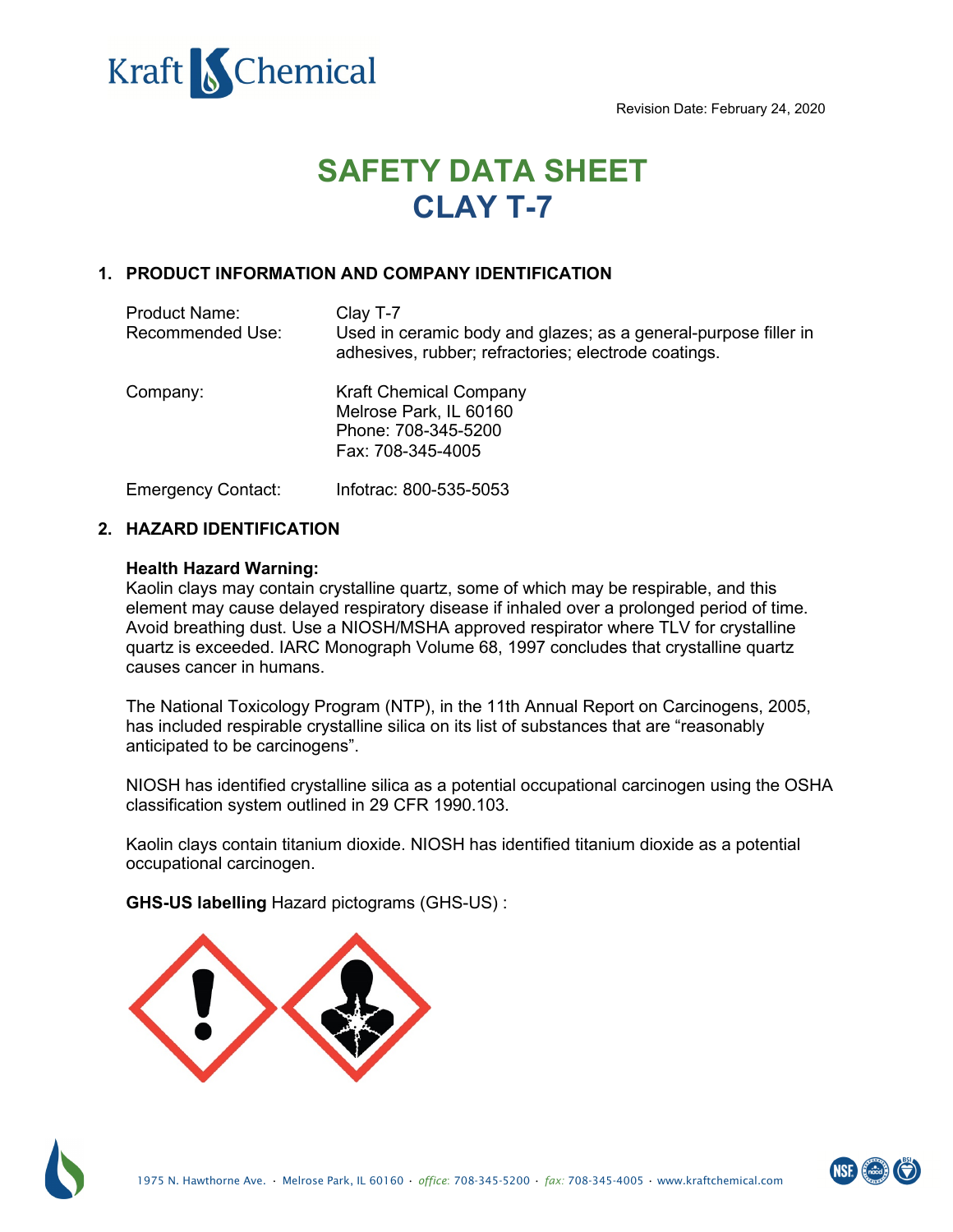Revision Date: February 24, 2020



# **1. PRODUCT INFORMATION AND COMPANY IDENTIFICATION**

| <b>Product Name:</b><br>Recommended Use: | Clay T-7<br>Used in ceramic body and glazes; as a general-purpose filler in<br>adhesives, rubber; refractories; electrode coatings. |
|------------------------------------------|-------------------------------------------------------------------------------------------------------------------------------------|
| Company:                                 | <b>Chemistry Connection</b><br>253 Sturgis Rd<br>Conway, AR 72034<br>Phone: 501-470-9689                                            |
| <b>Emergency Contact:</b>                | Chemtrec: 800-424-9300                                                                                                              |

# **2. HAZARD IDENTIFICATION**

### **Health Hazard Warning:**

Kaolin clays may contain crystalline quartz, some of which may be respirable, and this element may cause delayed respiratory disease if inhaled over a prolonged period of time. Avoid breathing dust. Use a NIOSH/MSHA approved respirator where TLV for crystalline quartz is exceeded. IARC Monograph Volume 68, 1997 concludes that crystalline quartz causes cancer in humans.

The National Toxicology Program (NTP), in the 11th Annual Report on Carcinogens, 2005, has included respirable crystalline silica on its list of substances that are "reasonably anticipated to be carcinogens".

NIOSH has identified crystalline silica as a potential occupational carcinogen using the OSHA classification system outlined in 29 CFR 1990.103.

Kaolin clays contain titanium dioxide. NIOSH has identified titanium dioxide as a potential occupational carcinogen.

**GHS-US labelling** Hazard pictograms (GHS-US) :

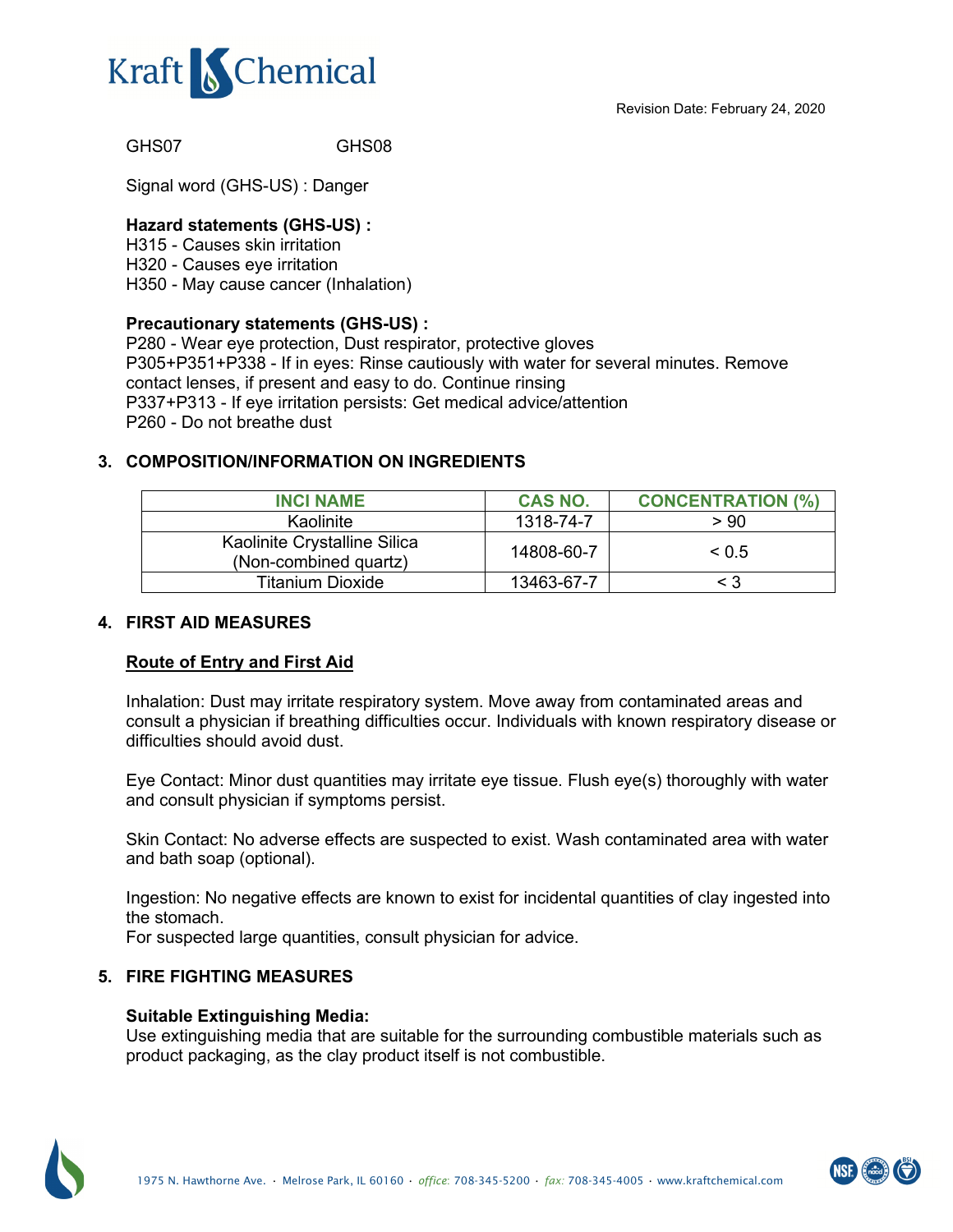GHS07 GHS08

Signal word (GHS-US) : Danger

### **Hazard statements (GHS-US) :**

H315 - Causes skin irritation H320 - Causes eye irritation H350 - May cause cancer (Inhalation)

#### **Precautionary statements (GHS-US) :**

P280 - Wear eye protection, Dust respirator, protective gloves P305+P351+P338 - If in eyes: Rinse cautiously with water for several minutes. Remove contact lenses, if present and easy to do. Continue rinsing P337+P313 - If eye irritation persists: Get medical advice/attention P260 - Do not breathe dust

## **3. COMPOSITION/INFORMATION ON INGREDIENTS**

| <b>INCI NAME</b>                                      | CAS NO.    | <b>CONCENTRATION (%)</b> |
|-------------------------------------------------------|------------|--------------------------|
| Kaolinite                                             | 1318-74-7  | > 90                     |
| Kaolinite Crystalline Silica<br>(Non-combined quartz) | 14808-60-7 | $\leq 0.5$               |
| Titanium Dioxide                                      | 13463-67-7 | < 3                      |

## **4. FIRST AID MEASURES**

## **Route of Entry and First Aid**

Inhalation: Dust may irritate respiratory system. Move away from contaminated areas and consult a physician if breathing difficulties occur. Individuals with known respiratory disease or difficulties should avoid dust.

Eye Contact: Minor dust quantities may irritate eye tissue. Flush eye(s) thoroughly with water and consult physician if symptoms persist.

Skin Contact: No adverse effects are suspected to exist. Wash contaminated area with water and bath soap (optional).

Ingestion: No negative effects are known to exist for incidental quantities of clay ingested into the stomach.

For suspected large quantities, consult physician for advice.

## **5. FIRE FIGHTING MEASURES**

#### **Suitable Extinguishing Media:**

Use extinguishing media that are suitable for the surrounding combustible materials such as product packaging, as the clay product itself is not combustible.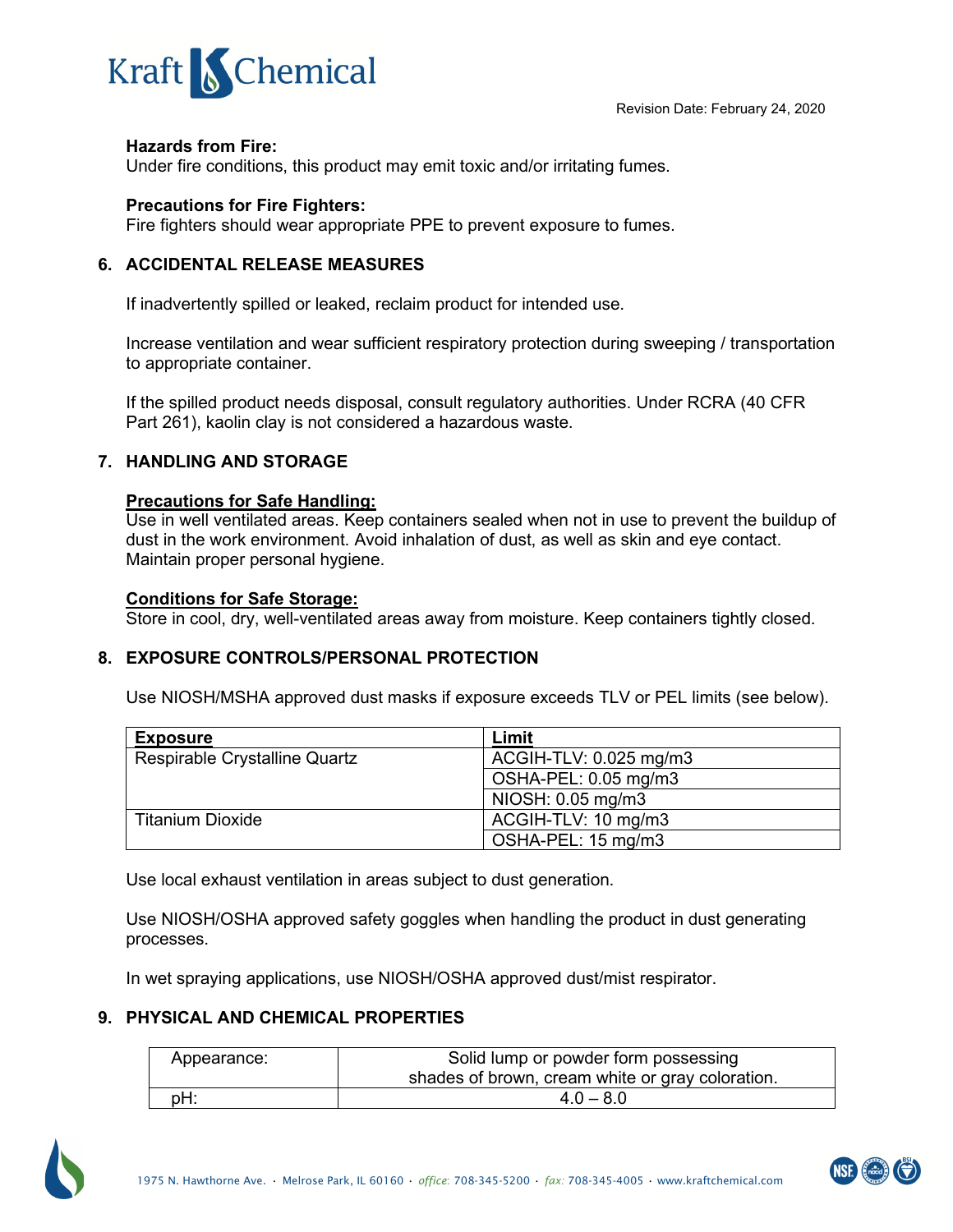### **Hazards from Fire:**

Under fire conditions, this product may emit toxic and/or irritating fumes.

### **Precautions for Fire Fighters:**

Fire fighters should wear appropriate PPE to prevent exposure to fumes.

### **6. ACCIDENTAL RELEASE MEASURES**

If inadvertently spilled or leaked, reclaim product for intended use.

Increase ventilation and wear sufficient respiratory protection during sweeping / transportation to appropriate container.

If the spilled product needs disposal, consult regulatory authorities. Under RCRA (40 CFR Part 261), kaolin clay is not considered a hazardous waste.

## **7. HANDLING AND STORAGE**

#### **Precautions for Safe Handling:**

Use in well ventilated areas. Keep containers sealed when not in use to prevent the buildup of dust in the work environment. Avoid inhalation of dust, as well as skin and eye contact. Maintain proper personal hygiene.

### **Conditions for Safe Storage:**

Store in cool, dry, well-ventilated areas away from moisture. Keep containers tightly closed.

## **8. EXPOSURE CONTROLS/PERSONAL PROTECTION**

Use NIOSH/MSHA approved dust masks if exposure exceeds TLV or PEL limits (see below).

| <b>Exposure</b>               | Limit                  |
|-------------------------------|------------------------|
| Respirable Crystalline Quartz | ACGIH-TLV: 0.025 mg/m3 |
|                               | OSHA-PEL: 0.05 mg/m3   |
|                               | NIOSH: 0.05 mg/m3      |
| Titanium Dioxide              | ACGIH-TLV: 10 mg/m3    |
|                               | OSHA-PEL: 15 mg/m3     |

Use local exhaust ventilation in areas subject to dust generation.

Use NIOSH/OSHA approved safety goggles when handling the product in dust generating processes.

In wet spraying applications, use NIOSH/OSHA approved dust/mist respirator.

## **9. PHYSICAL AND CHEMICAL PROPERTIES**

| Appearance: | Solid lump or powder form possessing             |
|-------------|--------------------------------------------------|
|             | shades of brown, cream white or gray coloration. |
| :bH         | $4.0 - 8.0$                                      |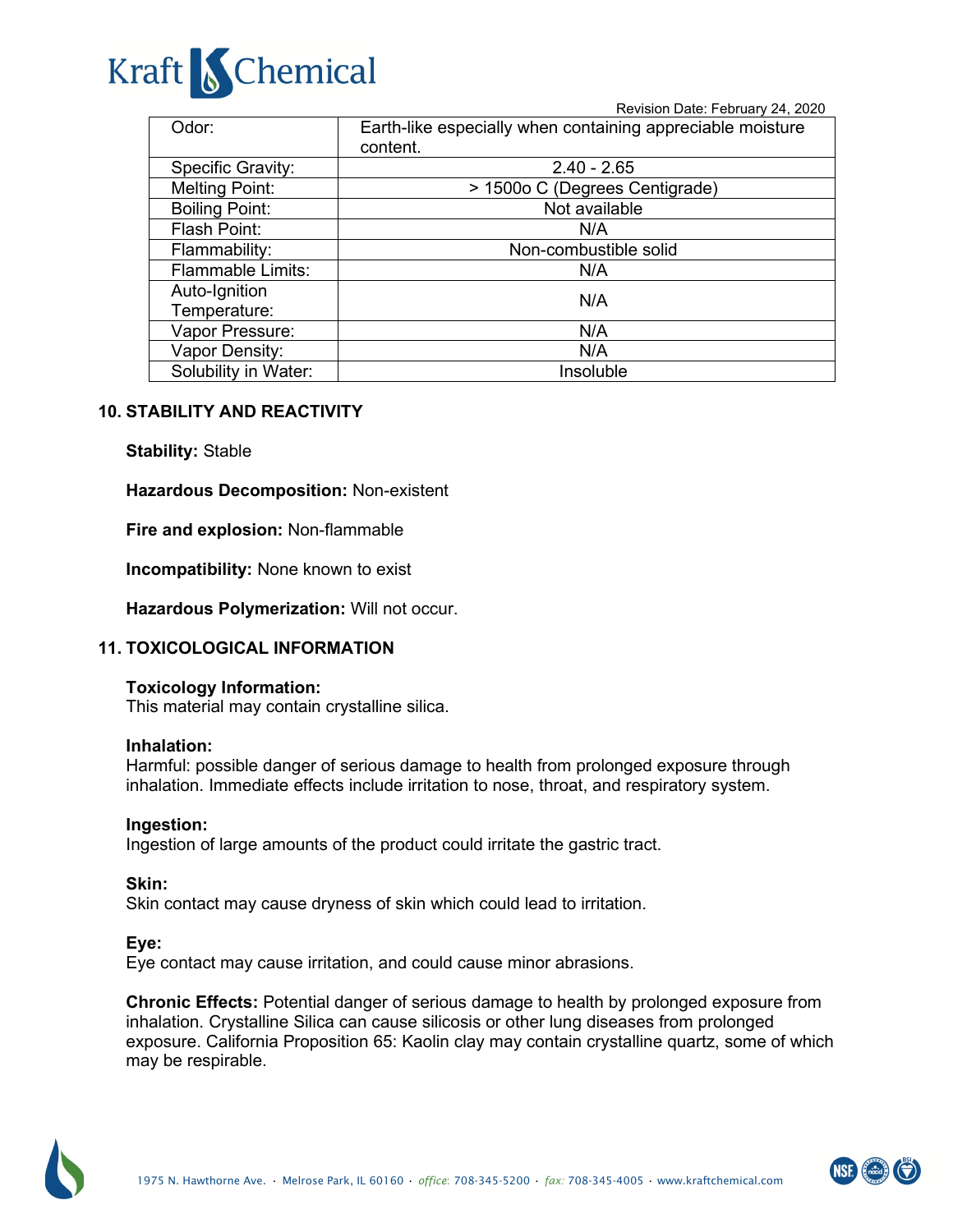Revision Date: February 24, 2020

| Odor:                    | Earth-like especially when containing appreciable moisture<br>content. |  |
|--------------------------|------------------------------------------------------------------------|--|
| <b>Specific Gravity:</b> | $2.40 - 2.65$                                                          |  |
| <b>Melting Point:</b>    | > 1500o C (Degrees Centigrade)                                         |  |
| <b>Boiling Point:</b>    | Not available                                                          |  |
| Flash Point:             | N/A                                                                    |  |
| Flammability:            | Non-combustible solid                                                  |  |
| <b>Flammable Limits:</b> | N/A                                                                    |  |
| Auto-Ignition            | N/A                                                                    |  |
| Temperature:             |                                                                        |  |
| Vapor Pressure:          | N/A                                                                    |  |
| Vapor Density:           | N/A                                                                    |  |
| Solubility in Water:     | Insoluble                                                              |  |

### **10. STABILITY AND REACTIVITY**

#### **Stability:** Stable

#### **Hazardous Decomposition:** Non-existent

**Fire and explosion:** Non-flammable

**Incompatibility:** None known to exist

**Hazardous Polymerization:** Will not occur.

#### **11. TOXICOLOGICAL INFORMATION**

#### **Toxicology Information:**

This material may contain crystalline silica.

#### **Inhalation:**

Harmful: possible danger of serious damage to health from prolonged exposure through inhalation. Immediate effects include irritation to nose, throat, and respiratory system.

#### **Ingestion:**

Ingestion of large amounts of the product could irritate the gastric tract.

**Skin:**

Skin contact may cause dryness of skin which could lead to irritation.

#### **Eye:**

Eye contact may cause irritation, and could cause minor abrasions.

**Chronic Effects:** Potential danger of serious damage to health by prolonged exposure from inhalation. Crystalline Silica can cause silicosis or other lung diseases from prolonged exposure. California Proposition 65: Kaolin clay may contain crystalline quartz, some of which may be respirable.